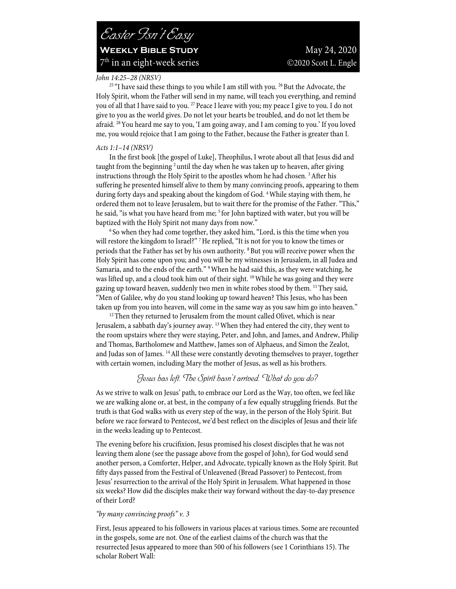## *John 14:25–28 (NRSV)*

<sup>25 "</sup>I have said these things to you while I am still with you.<sup>26</sup> But the Advocate, the Holy Spirit, whom the Father will send in my name, will teach you everything, and remind you of all that I have said to you.<sup>27</sup> Peace I leave with you; my peace I give to you. I do not give to you as the world gives. Do not let your hearts be troubled, and do not let them be afraid. 28You heard me say to you, 'I am going away, and I am coming to you.' If you loved me, you would rejoice that I am going to the Father, because the Father is greater than I.

## *Acts 1:1–14 (NRSV)*

In the first book [the gospel of Luke], Theophilus, I wrote about all that Jesus did and taught from the beginning  $2$  until the day when he was taken up to heaven, after giving instructions through the Holy Spirit to the apostles whom he had chosen. 3After his suffering he presented himself alive to them by many convincing proofs, appearing to them during forty days and speaking about the kingdom of God.<sup>4</sup> While staying with them, he ordered them not to leave Jerusalem, but to wait there for the promise of the Father. "This," he said, "is what you have heard from me; <sup>5</sup> for John baptized with water, but you will be baptized with the Holy Spirit not many days from now."<br><sup>6</sup> So when they had come together, they asked him, "Lord, is this the time when you

will restore the kingdom to Israel?" <sup>7</sup>He replied, "It is not for you to know the times or periods that the Father has set by his own authority. 8But you will receive power when the Holy Spirit has come upon you; and you will be my witnesses in Jerusalem, in all Judea and Samaria, and to the ends of the earth." 9When he had said this, as they were watching, he was lifted up, and a cloud took him out of their sight. <sup>10</sup> While he was going and they were gazing up toward heaven, suddenly two men in white robes stood by them. 11They said, "Men of Galilee, why do you stand looking up toward heaven? This Jesus, who has been taken up from you into heaven, will come in the same way as you saw him go into heaven."<br><sup>12</sup>Then they returned to Jerusalem from the mount called Olivet, which is near

Jerusalem, a sabbath day's journey away.  $13$  When they had entered the city, they went to the room upstairs where they were staying, Peter, and John, and James, and Andrew, Philip and Thomas, Bartholomew and Matthew, James son of Alphaeus, and Simon the Zealot, and Judas son of James. 14All these were constantly devoting themselves to prayer, together with certain women, including Mary the mother of Jesus, as well as his brothers.

## *Jesus has left. The Spirit hasn't arrived. What do you do?*

As we strive to walk on Jesus' path, to embrace our Lord as the Way, too often, we feel like we are walking alone or, at best, in the company of a few equally struggling friends. But the truth is that God walks with us every step of the way, in the person of the Holy Spirit. But before we race forward to Pentecost, we'd best reflect on the disciples of Jesus and their life in the weeks leading up to Pentecost.

The evening before his crucifixion, Jesus promised his closest disciples that he was not leaving them alone (see the passage above from the gospel of John), for God would send another person, a Comforter, Helper, and Advocate, typically known as the Holy Spirit. But fifty days passed from the Festival of Unleavened (Bread Passover) to Pentecost, from Jesus' resurrection to the arrival of the Holy Spirit in Jerusalem. What happened in those six weeks? How did the disciples make their way forward without the day-to-day presence of their Lord?

## *"by many convincing proofs" v. 3*

First, Jesus appeared to his followers in various places at various times. Some are recounted in the gospels, some are not. One of the earliest claims of the church was that the resurrected Jesus appeared to more than 500 of his followers (see 1 Corinthians 15). The scholar Robert Wall: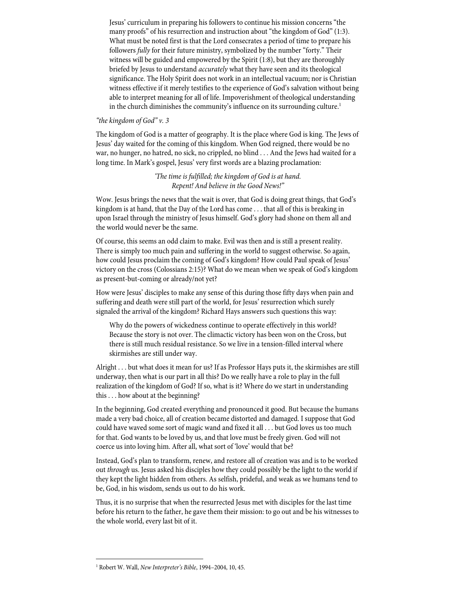Jesus' curriculum in preparing his followers to continue his mission concerns "the many proofs" of his resurrection and instruction about "the kingdom of God" (1:3). What must be noted first is that the Lord consecrates a period of time to prepare his followers *fully* for their future ministry, symbolized by the number "forty." Their witness will be guided and empowered by the Spirit (1:8), but they are thoroughly briefed by Jesus to understand *accurately* what they have seen and its theological significance. The Holy Spirit does not work in an intellectual vacuum; nor is Christian witness effective if it merely testifies to the experience of God's salvation without being able to interpret meaning for all of life. Impoverishment of theological understanding in the church diminishes the community's influence on its surrounding culture.<sup>1</sup>

## *"the kingdom of God" v. 3*

The kingdom of God is a matter of geography. It is the place where God is king. The Jews of Jesus' day waited for the coming of this kingdom. When God reigned, there would be no war, no hunger, no hatred, no sick, no crippled, no blind . . . And the Jews had waited for a long time. In Mark's gospel, Jesus' very first words are a blazing proclamation:

> *'The time is fulfilled; the kingdom of God is at hand. Repent! And believe in the Good News!"*

Wow. Jesus brings the news that the wait is over, that God is doing great things, that God's kingdom is at hand, that the Day of the Lord has come . . . that all of this is breaking in upon Israel through the ministry of Jesus himself. God's glory had shone on them all and the world would never be the same.

Of course, this seems an odd claim to make. Evil was then and is still a present reality. There is simply too much pain and suffering in the world to suggest otherwise. So again, how could Jesus proclaim the coming of God's kingdom? How could Paul speak of Jesus' victory on the cross (Colossians 2:15)? What do we mean when we speak of God's kingdom as present-but-coming or already/not yet?

How were Jesus' disciples to make any sense of this during those fifty days when pain and suffering and death were still part of the world, for Jesus' resurrection which surely signaled the arrival of the kingdom? Richard Hays answers such questions this way:

Why do the powers of wickedness continue to operate effectively in this world? Because the story is not over. The climactic victory has been won on the Cross, but there is still much residual resistance. So we live in a tension-filled interval where skirmishes are still under way.

Alright . . . but what does it mean for us? If as Professor Hays puts it, the skirmishes are still underway, then what is our part in all this? Do we really have a role to play in the full realization of the kingdom of God? If so, what is it? Where do we start in understanding this . . . how about at the beginning?

In the beginning, God created everything and pronounced it good. But because the humans made a very bad choice, all of creation became distorted and damaged. I suppose that God could have waved some sort of magic wand and fixed it all . . . but God loves us too much for that. God wants to be loved by us, and that love must be freely given. God will not coerce us into loving him. After all, what sort of 'love' would that be?

Instead, God's plan to transform, renew, and restore all of creation was and is to be worked out *through* us. Jesus asked his disciples how they could possibly be the light to the world if they kept the light hidden from others. As selfish, prideful, and weak as we humans tend to be, God, in his wisdom, sends us out to do his work.

Thus, it is no surprise that when the resurrected Jesus met with disciples for the last time before his return to the father, he gave them their mission: to go out and be his witnesses to the whole world, every last bit of it.

<sup>1</sup> Robert W. Wall, *New Interpreter's Bible*, 1994–2004, 10, 45.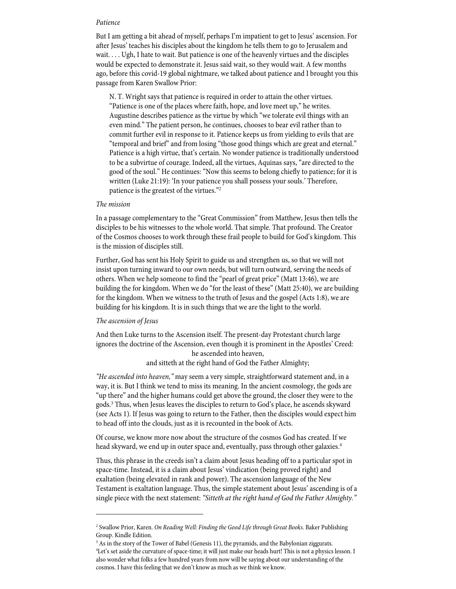#### *Patience*

But I am getting a bit ahead of myself, perhaps I'm impatient to get to Jesus' ascension. For after Jesus' teaches his disciples about the kingdom he tells them to go to Jerusalem and wait. . . . Ugh, I hate to wait. But patience is one of the heavenly virtues and the disciples would be expected to demonstrate it. Jesus said wait, so they would wait. A few months ago, before this covid-19 global nightmare, we talked about patience and I brought you this passage from Karen Swallow Prior:

N. T. Wright says that patience is required in order to attain the other virtues. "Patience is one of the places where faith, hope, and love meet up," he writes. Augustine describes patience as the virtue by which "we tolerate evil things with an even mind." The patient person, he continues, chooses to bear evil rather than to commit further evil in response to it. Patience keeps us from yielding to evils that are "temporal and brief" and from losing "those good things which are great and eternal." Patience is a high virtue, that's certain. No wonder patience is traditionally understood to be a subvirtue of courage. Indeed, all the virtues, Aquinas says, "are directed to the good of the soul." He continues: "Now this seems to belong chiefly to patience; for it is written (Luke 21:19): 'In your patience you shall possess your souls.' Therefore, patience is the greatest of the virtues."2

## *The mission*

In a passage complementary to the "Great Commission" from Matthew, Jesus then tells the disciples to be his witnesses to the whole world. That simple. That profound. The Creator of the Cosmos chooses to work through these frail people to build for God's kingdom. This is the mission of disciples still.

Further, God has sent his Holy Spirit to guide us and strengthen us, so that we will not insist upon turning inward to our own needs, but will turn outward, serving the needs of others. When we help someone to find the "pearl of great price" (Matt 13:46), we are building the for kingdom. When we do "for the least of these" (Matt 25:40), we are building for the kingdom. When we witness to the truth of Jesus and the gospel (Acts 1:8), we are building for his kingdom. It is in such things that we are the light to the world.

## *The ascension of Jesus*

And then Luke turns to the Ascension itself. The present-day Protestant church large ignores the doctrine of the Ascension, even though it is prominent in the Apostles' Creed: he ascended into heaven,

and sitteth at the right hand of God the Father Almighty;

*"He ascended into heaven,"* may seem a very simple, straightforward statement and, in a way, it is. But I think we tend to miss its meaning. In the ancient cosmology, the gods are "up there" and the higher humans could get above the ground, the closer they were to the gods.3 Thus, when Jesus leaves the disciples to return to God's place, he ascends skyward (see Acts 1). If Jesus was going to return to the Father, then the disciples would expect him to head off into the clouds, just as it is recounted in the book of Acts.

Of course, we know more now about the structure of the cosmos God has created. If we head skyward, we end up in outer space and, eventually, pass through other galaxies.<sup>4</sup>

Thus, this phrase in the creeds isn't a claim about Jesus heading off to a particular spot in space-time. Instead, it is a claim about Jesus' vindication (being proved right) and exaltation (being elevated in rank and power). The ascension language of the New Testament is exaltation language. Thus, the simple statement about Jesus' ascending is of a single piece with the next statement: *"Sitteth at the right hand of God the Father Almighty."*

<sup>2</sup> Swallow Prior, Karen. *On Reading Well: Finding the Good Life through Great Books*. Baker Publishing Group. Kindle Edition.

<sup>&</sup>lt;sup>3</sup> As in the story of the Tower of Babel (Genesis 11), the pyramids, and the Babylonian ziggurats. 4 Let's set aside the curvature of space-time; it will just make our heads hurt! This is not a physics lesson. I also wonder what folks a few hundred years from now will be saying about our understanding of the cosmos. I have this feeling that we don't know as much as we think we know.